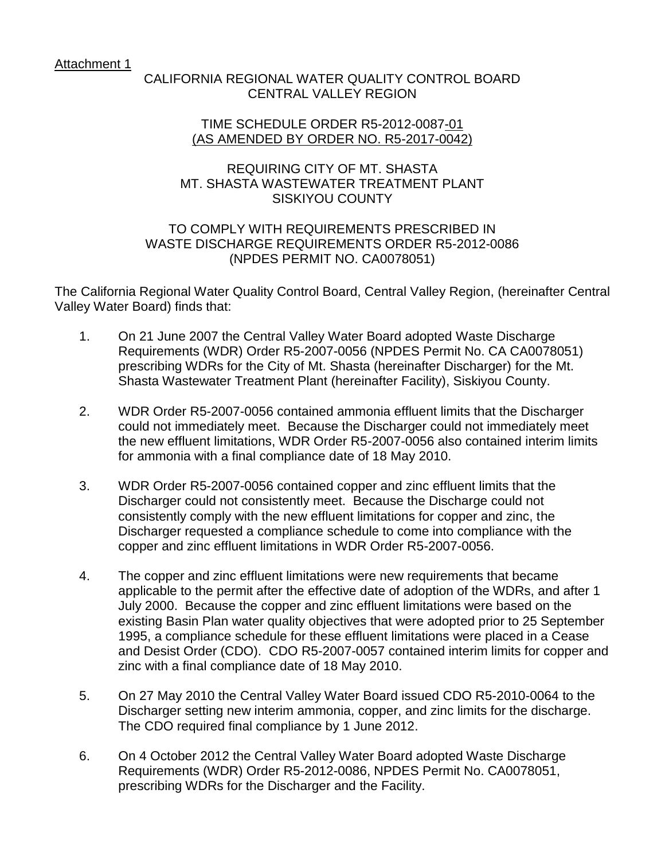Attachment 1

## CALIFORNIA REGIONAL WATER QUALITY CONTROL BOARD CENTRAL VALLEY REGION

#### TIME SCHEDULE ORDER R5-2012-0087-01 (AS AMENDED BY ORDER NO. R5-2017-0042)

# SISKIYOU COUNTY REQUIRING CITY OF MT. SHASTA MT. SHASTA WASTEWATER TREATMENT PLANT

#### WASTE DISCHARGE REQUIREMENTS ORDER R5-2012-0086 TO COMPLY WITH REQUIREMENTS PRESCRIBED IN (NPDES PERMIT NO. CA0078051)

The California Regional Water Quality Control Board, Central Valley Region, (hereinafter Central Valley Water Board) finds that:

- 1. On 21 June 2007 the Central Valley Water Board adopted Waste Discharge prescribing WDRs for the City of Mt. Shasta (hereinafter Discharger) for the Mt. Requirements (WDR) Order R5-2007-0056 (NPDES Permit No. CA CA0078051) Shasta Wastewater Treatment Plant (hereinafter Facility), Siskiyou County.
- could not immediately meet. Because the Discharger could not immediately meet for ammonia with a final compliance date of 18 May 2010. 2. WDR Order R5-2007-0056 contained ammonia effluent limits that the Discharger the new effluent limitations, WDR Order R5-2007-0056 also contained interim limits
- Discharger requested a compliance schedule to come into compliance with the copper and zinc effluent limitations in WDR Order R5-2007-0056. 3. WDR Order R5-2007-0056 contained copper and zinc effluent limits that the Discharger could not consistently meet. Because the Discharge could not consistently comply with the new effluent limitations for copper and zinc, the
- 1995, a compliance schedule for these effluent limitations were placed in a Cease 4. The copper and zinc effluent limitations were new requirements that became applicable to the permit after the effective date of adoption of the WDRs, and after 1 July 2000. Because the copper and zinc effluent limitations were based on the existing Basin Plan water quality objectives that were adopted prior to 25 September and Desist Order (CDO). CDO R5-2007-0057 contained interim limits for copper and zinc with a final compliance date of 18 May 2010.
- 5. On 27 May 2010 the Central Valley Water Board issued CDO R5-2010-0064 to the Discharger setting new interim ammonia, copper, and zinc limits for the discharge. The CDO required final compliance by 1 June 2012.
- 6. Requirements (WDR) Order R5-2012-0086, NPDES Permit No. CA0078051, prescribing WDRs for the Discharger and the Facility. On 4 October 2012 the Central Valley Water Board adopted Waste Discharge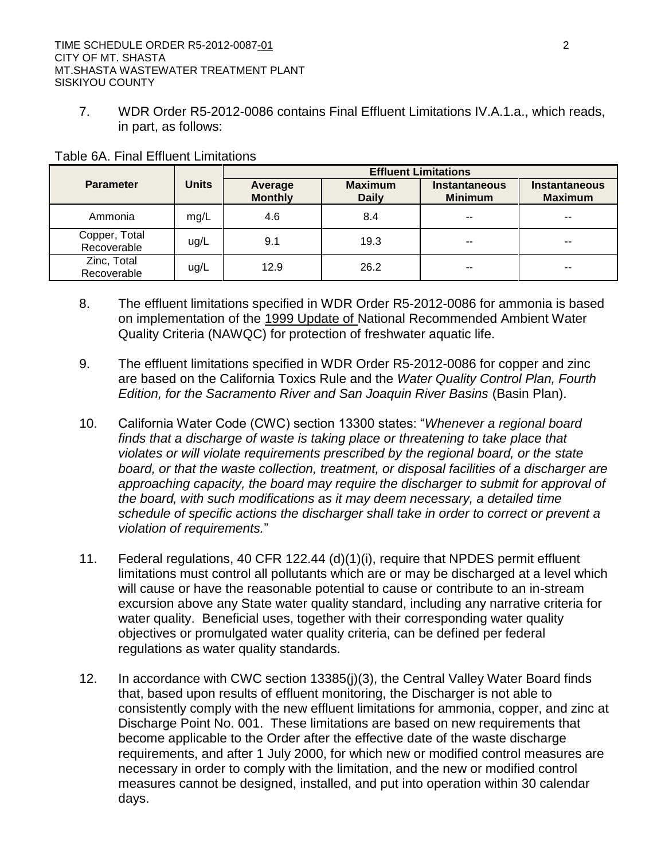7. WDR Order R5-2012-0086 contains Final Effluent Limitations IV.A.1.a., which reads, in part, as follows:

|                              |              | <b>Effluent Limitations</b> |                                |                                        |                                        |  |  |  |
|------------------------------|--------------|-----------------------------|--------------------------------|----------------------------------------|----------------------------------------|--|--|--|
| <b>Parameter</b>             | <b>Units</b> | Average<br><b>Monthly</b>   | <b>Maximum</b><br><b>Daily</b> | <b>Instantaneous</b><br><b>Minimum</b> | <b>Instantaneous</b><br><b>Maximum</b> |  |  |  |
| Ammonia                      | mg/L         | 4.6                         | 8.4                            | --                                     | --                                     |  |  |  |
| Copper, Total<br>Recoverable | ug/L         | 9.1                         | 19.3                           | $- -$                                  | --                                     |  |  |  |
| Zinc, Total<br>Recoverable   | ug/L         | 12.9                        | 26.2                           | --                                     | --                                     |  |  |  |

#### Table 6A. Final Effluent Limitations

- 8. The effluent limitations specified in WDR Order R5-2012-0086 for ammonia is based on implementation of the 1999 Update of National Recommended Ambient Water Quality Criteria (NAWQC) for protection of freshwater aquatic life.
- 9. The effluent limitations specified in WDR Order R5-2012-0086 for copper and zinc are based on the California Toxics Rule and the *Water Quality Control Plan, Fourth Edition, for the Sacramento River and San Joaquin River Basins* (Basin Plan).
- *violates or will violate requirements prescribed by the regional board, or the state*  approaching capacity, the board may require the discharger to submit for approval of 10. California Water Code (CWC) section 13300 states: "*Whenever a regional board finds that a discharge of waste is taking place or threatening to take place that board, or that the waste collection, treatment, or disposal facilities of a discharger are the board, with such modifications as it may deem necessary, a detailed time schedule of specific actions the discharger shall take in order to correct or prevent a violation of requirements.*"
- will cause or have the reasonable potential to cause or contribute to an in-stream 11. Federal regulations, 40 CFR 122.44 (d)(1)(i), require that NPDES permit effluent limitations must control all pollutants which are or may be discharged at a level which excursion above any State water quality standard, including any narrative criteria for water quality. Beneficial uses, together with their corresponding water quality objectives or promulgated water quality criteria, can be defined per federal regulations as water quality standards.
- Discharge Point No. 001. These limitations are based on new requirements that become applicable to the Order after the effective date of the waste discharge measures cannot be designed, installed, and put into operation within 30 calendar 12. In accordance with CWC section 13385(j)(3), the Central Valley Water Board finds that, based upon results of effluent monitoring, the Discharger is not able to consistently comply with the new effluent limitations for ammonia, copper, and zinc at requirements, and after 1 July 2000, for which new or modified control measures are necessary in order to comply with the limitation, and the new or modified control days.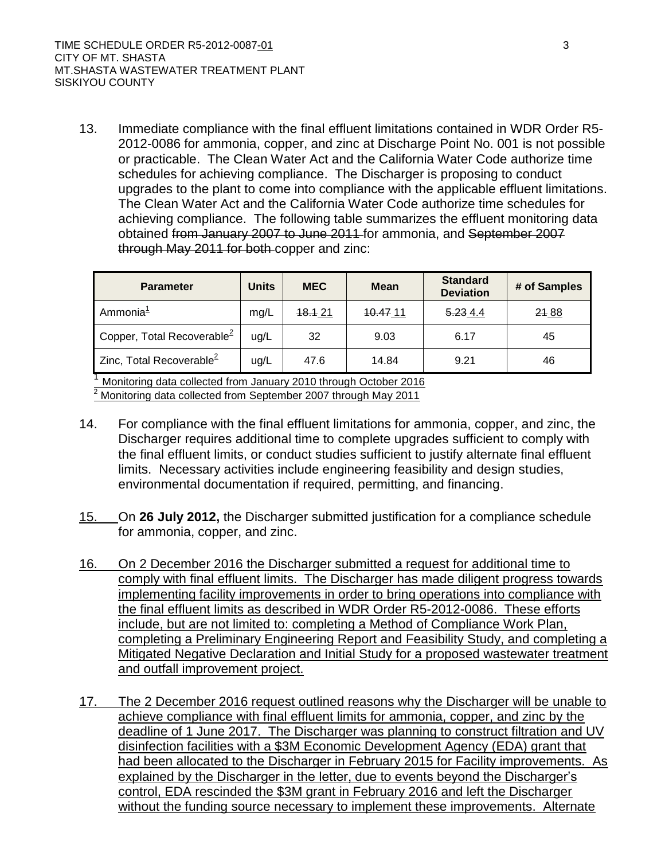2012-0086 for ammonia, copper, and zinc at Discharge Point No. 001 is not possible or practicable. The Clean Water Act and the California Water Code authorize time upgrades to the plant to come into compliance with the applicable effluent limitations. achieving compliance. The following table summarizes the effluent monitoring data obtained from January 2007 to June 2011 for ammonia, and September 2007 through May 2011 for both copper and zinc: 13. Immediate compliance with the final effluent limitations contained in WDR Order R5schedules for achieving compliance. The Discharger is proposing to conduct The Clean Water Act and the California Water Code authorize time schedules for

| <b>Parameter</b>                       | <b>Units</b> | <b>MEC</b> | <b>Mean</b> | <b>Standard</b><br><b>Deviation</b> | # of Samples |
|----------------------------------------|--------------|------------|-------------|-------------------------------------|--------------|
| Ammonia <sup>1</sup>                   | mg/L         | 18.1 21    | 10.47 11    | 5.234.4                             | 21 88        |
| Copper, Total Recoverable <sup>2</sup> | ug/L         | 32         | 9.03        | 6.17                                | 45           |
| Zinc, Total Recoverable <sup>2</sup>   | ug/L         | 47.6       | 14.84       | 9.21                                | 46           |

 $2$  Monitoring data collected from September 2007 through May 2011  $1$  Monitoring data collected from January 2010 through October 2016

- 14. For compliance with the final effluent limitations for ammonia, copper, and zinc, the environmental documentation if required, permitting, and financing. Discharger requires additional time to complete upgrades sufficient to comply with the final effluent limits, or conduct studies sufficient to justify alternate final effluent limits. Necessary activities include engineering feasibility and design studies,
- $15.$ 15. On **26 July 2012,** the Discharger submitted justification for a compliance schedule for ammonia, copper, and zinc.
- 16. the final effluent limits as described in WDR Order R5-2012-0086. These efforts and outfall improvement project. 16. On 2 December 2016 the Discharger submitted a request for additional time to comply with final effluent limits. The Discharger has made diligent progress towards implementing facility improvements in order to bring operations into compliance with include, but are not limited to: completing a Method of Compliance Work Plan, completing a Preliminary Engineering Report and Feasibility Study, and completing a Mitigated Negative Declaration and Initial Study for a proposed wastewater treatment
- had been allocated to the Discharger in February 2015 for Facility improvements. As explained by the Discharger in the letter, due to events beyond the Discharger's control, EDA rescinded the \$3M grant in February 2016 and left the Discharger without the funding source necessary to implement these improvements. Alternate 17. The 2 December 2016 request outlined reasons why the Discharger will be unable to achieve compliance with final effluent limits for ammonia, copper, and zinc by the deadline of 1 June 2017. The Discharger was planning to construct filtration and UV disinfection facilities with a \$3M Economic Development Agency (EDA) grant that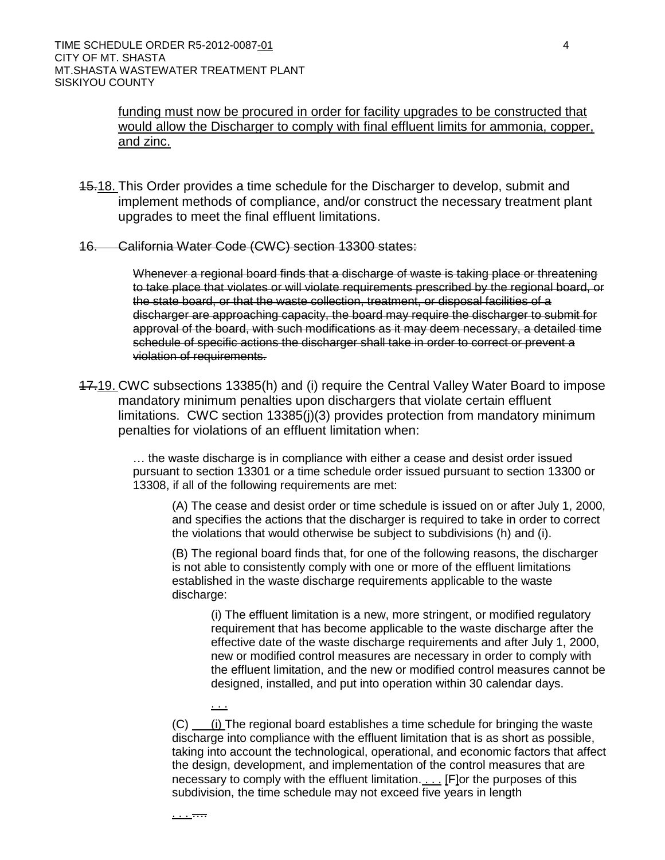and zinc. funding must now be procured in order for facility upgrades to be constructed that would allow the Discharger to comply with final effluent limits for ammonia, copper,

- and zinc.<br>15.18. This Order provides a time schedule for the Discharger to develop, submit and implement methods of compliance, and/or construct the necessary treatment plant upgrades to meet the final effluent limitations.
- 16. California Water Code (CWC) section 13300 states:

. . .

. . . ….

 Whenever a regional board finds that a discharge of waste is taking place or threatening to take place that violates or will violate requirements prescribed by the regional board, or the state board, or that the waste collection, treatment, or disposal facilities of a discharger are approaching capacity, the board may require the discharger to submit for approval of the board, with such modifications as it may deem necessary, a detailed time schedule of specific actions the discharger shall take in order to correct or prevent a violation of requirements.

 limitations. CWC section 13385(j)(3) provides protection from mandatory minimum 17.19. CWC subsections 13385(h) and (i) require the Central Valley Water Board to impose mandatory minimum penalties upon dischargers that violate certain effluent penalties for violations of an effluent limitation when:

> … the waste discharge is in compliance with either a cease and desist order issued pursuant to section 13301 or a time schedule order issued pursuant to section 13300 or 13308, if all of the following requirements are met:

 (A) The cease and desist order or time schedule is issued on or after July 1, 2000, and specifies the actions that the discharger is required to take in order to correct the violations that would otherwise be subject to subdivisions (h) and (i).

 (B) The regional board finds that, for one of the following reasons, the discharger is not able to consistently comply with one or more of the effluent limitations established in the waste discharge requirements applicable to the waste discharge:

 (i) The effluent limitation is a new, more stringent, or modified regulatory requirement that has become applicable to the waste discharge after the effective date of the waste discharge requirements and after July 1, 2000, new or modified control measures are necessary in order to comply with the effluent limitation, and the new or modified control measures cannot be designed, installed, and put into operation within 30 calendar days.

 $(C)$  (i) The regional board establishes a time schedule for bringing the waste discharge into compliance with the effluent limitation that is as short as possible, taking into account the technological, operational, and economic factors that affect the design, development, and implementation of the control measures that are necessary to comply with the effluent limitation. . . . [F]or the purposes of this subdivision, the time schedule may not exceed five years in length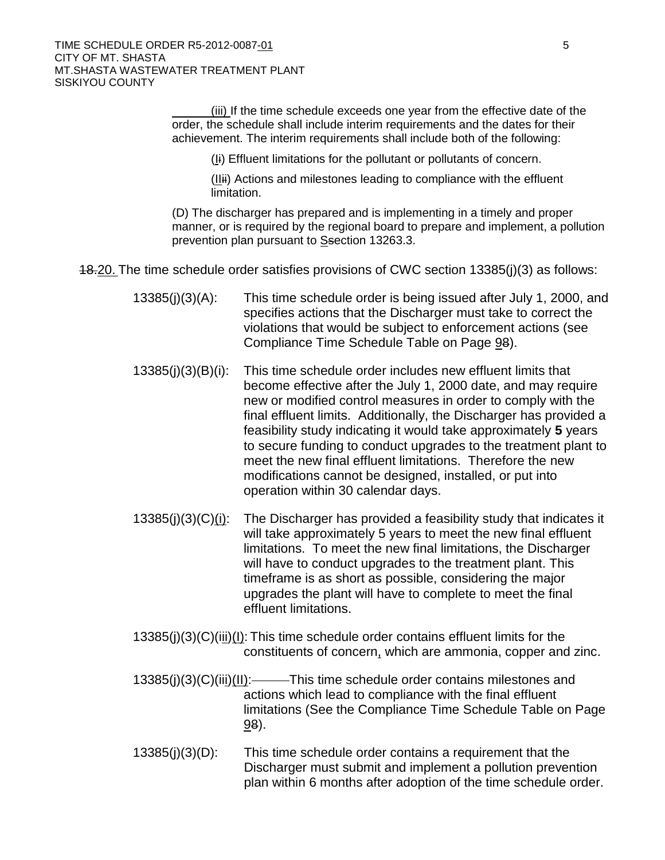$\overline{a}$  order, the schedule shall include interim requirements and the dates for their achievement. The interim requirements shall include both of the following: (iii) If the time schedule exceeds one year from the effective date of the

 $(I<sub>i</sub>)$  Effluent limitations for the pollutant or pollutants of concern.

 $(IIIii)$  Actions and milestones leading to compliance with the effluent limitation.

 (D) The discharger has prepared and is implementing in a timely and proper manner, or is required by the regional board to prepare and implement, a pollution prevention plan pursuant to Ssection 13263.3.

- 18.20. The time schedule order satisfies provisions of CWC section 13385(j)(3) as follows:
	- 13385(j)(3)(A): This time schedule order is being issued after July 1, 2000, and<br>specifies actions that the Discharger must take to correct the Compliance Time Schedule Table on Page 98). violations that would be subject to enforcement actions (see
	- final effluent limits. Additionally, the Discharger has provided a feasibility study indicating it would take approximately **5** years to secure funding to conduct upgrades to the treatment plant to meet the new final effluent limitations. Therefore the new  $13385(j)(3)(B)(i)$ : This time schedule order includes new effluent limits that become effective after the July 1, 2000 date, and may require new or modified control measures in order to comply with the modifications cannot be designed, installed, or put into operation within 30 calendar days.
	- will take approximately 5 years to meet the new final effluent will have to conduct upgrades to the treatment plant. This upgrades the plant will have to complete to meet the final  $13385(j)(3)(C)(i)$ : The Discharger has provided a feasibility study that indicates it limitations. To meet the new final limitations, the Discharger timeframe is as short as possible, considering the major effluent limitations.
	- 13385(j)(3)(C)(iii)(I): This time schedule order contains effluent limits for the constituents of concern, which are ammonia, copper and zinc.
	- limitations (See the Compliance Time Schedule Table on Page 13385(j)(3)(C)(iii)(II): This time schedule order contains milestones and actions which lead to compliance with the final effluent 98).
	- Discharger must submit and implement a pollution prevention  $13385(j)(3)(D)$ : This time schedule order contains a requirement that the plan within 6 months after adoption of the time schedule order.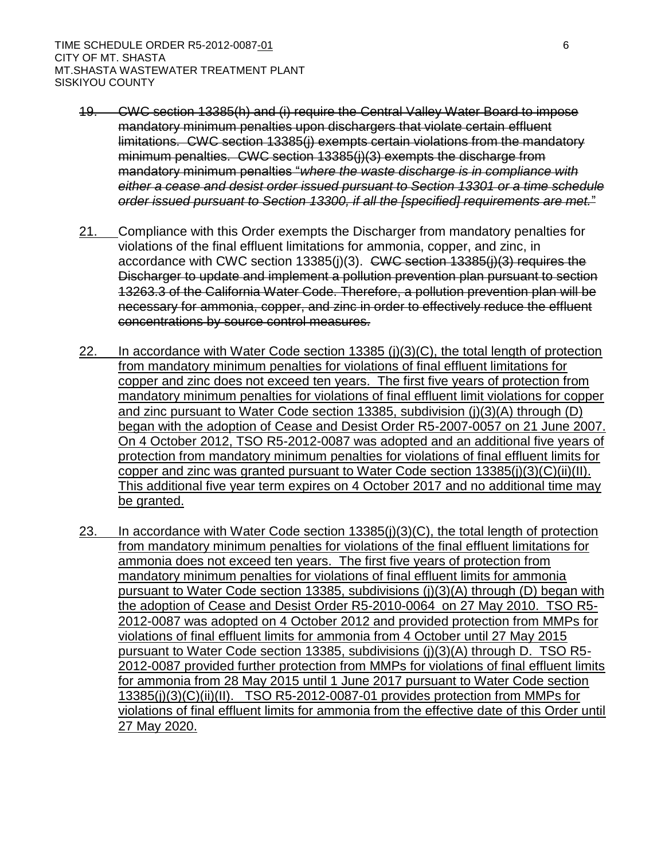- limitations. CWC section 13385(j) exempts certain violations from the mandatory minimum penalties. CWC section 13385(j)(3) exempts the discharge from  mandatory minimum penalties "*where the waste discharge is in compliance with either a cease and desist order issued pursuant to Section 13301 or a time schedule*  19. CWC section 13385(h) and (i) require the Central Valley Water Board to impose mandatory minimum penalties upon dischargers that violate certain effluent *order issued pursuant to Section 13300, if all the [specified] requirements are met.*"
- accordance with CWC section 13385(j)(3). CWC section 13385(j)(3) requires the Discharger to update and implement a pollution prevention plan pursuant to section 13263.3 of the California Water Code. Therefore, a pollution prevention plan will be 21. Compliance with this Order exempts the Discharger from mandatory penalties for violations of the final effluent limitations for ammonia, copper, and zinc, in necessary for ammonia, copper, and zinc in order to effectively reduce the effluent concentrations by source control measures.
- copper and zinc does not exceed ten years. The first five years of protection from mandatory minimum penalties for violations of final effluent limit violations for copper On 4 October 2012, TSO R5-2012-0087 was adopted and an additional five years of protection from mandatory minimum penalties for violations of final effluent limits for This additional five year term expires on 4 October 2017 and no additional time may 22. In accordance with Water Code section 13385 ( $j(3)(C)$ , the total length of protection from mandatory minimum penalties for violations of final effluent limitations for and zinc pursuant to Water Code section 13385, subdivision (j)(3)(A) through (D) began with the adoption of Cease and Desist Order R5-2007-0057 on 21 June 2007. copper and zinc was granted pursuant to Water Code section 13385(j)(3)(C)(ii)(II). be granted.
- ammonia does not exceed ten years. The first five years of protection from mandatory minimum penalties for violations of final effluent limits for ammonia the adoption of Cease and Desist Order R5-2010-0064 on 27 May 2010. TSO R5- violations of final effluent limits for ammonia from 4 October until 27 May 2015 13385(j)(3)(C)(ii)(II). TSO R5-2012-0087-01 provides protection from MMPs for violations of final effluent limits for ammonia from the effective date of this Order until 23. In accordance with Water Code section  $13385(j)(3)(C)$ , the total length of protection from mandatory minimum penalties for violations of the final effluent limitations for pursuant to Water Code section 13385, subdivisions (j)(3)(A) through (D) began with 2012-0087 was adopted on 4 October 2012 and provided protection from MMPs for pursuant to Water Code section 13385, subdivisions (j)(3)(A) through D. TSO R5- 2012-0087 provided further protection from MMPs for violations of final effluent limits for ammonia from 28 May 2015 until 1 June 2017 pursuant to Water Code section 27 May 2020.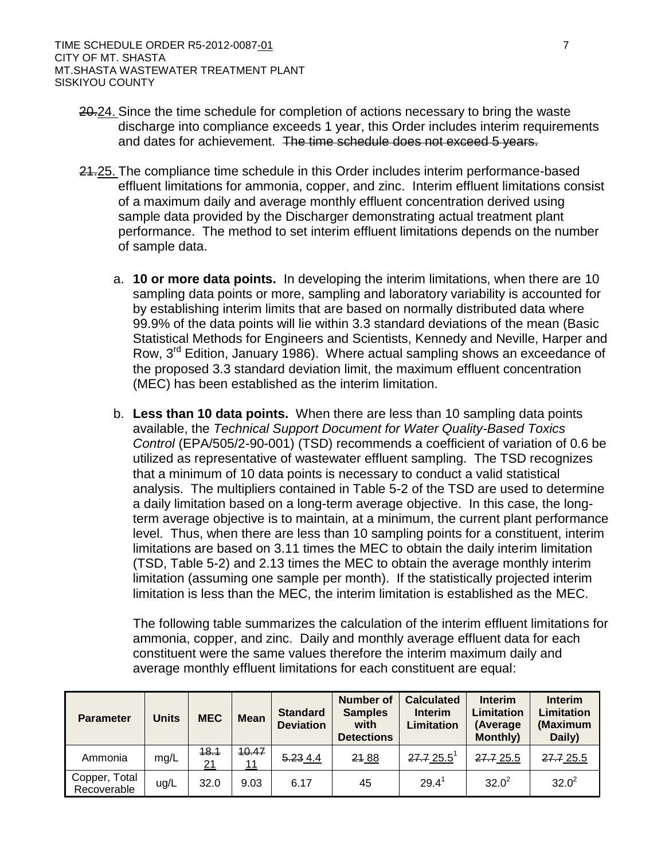- and dates for achievement. The time schedule does not exceed 5 years. 20.24. Since the time schedule for completion of actions necessary to bring the waste discharge into compliance exceeds 1 year, this Order includes interim requirements
- of a maximum daily and average monthly effluent concentration derived using sample data provided by the Discharger demonstrating actual treatment plant performance. The method to set interim effluent limitations depends on the number 21.25. The compliance time schedule in this Order includes interim performance-based effluent limitations for ammonia, copper, and zinc. Interim effluent limitations consist of sample data.
	- 99.9% of the data points will lie within 3.3 standard deviations of the mean (Basic the proposed 3.3 standard deviation limit, the maximum effluent concentration a. **10 or more data points.** In developing the interim limitations, when there are 10 sampling data points or more, sampling and laboratory variability is accounted for by establishing interim limits that are based on normally distributed data where Statistical Methods for Engineers and Scientists, Kennedy and Neville, Harper and Row, 3<sup>rd</sup> Edition, January 1986). Where actual sampling shows an exceedance of (MEC) has been established as the interim limitation.
	- b. Less than 10 data points. When there are less than 10 sampling data points *Control* (EPA/505/2-90-001) (TSD) recommends a coefficient of variation of 0.6 be utilized as representative of wastewater effluent sampling. The TSD recognizes that a minimum of 10 data points is necessary to conduct a valid statistical term average objective is to maintain, at a minimum, the current plant performance level. Thus, when there are less than 10 sampling points for a constituent, interim limitation is less than the MEC, the interim limitation is established as the MEC. available, the *Technical Support Document for Water Quality-Based Toxics*  analysis. The multipliers contained in Table 5-2 of the TSD are used to determine a daily limitation based on a long-term average objective. In this case, the longlimitations are based on 3.11 times the MEC to obtain the daily interim limitation (TSD, Table 5-2) and 2.13 times the MEC to obtain the average monthly interim limitation (assuming one sample per month). If the statistically projected interim

 ammonia, copper, and zinc. Daily and monthly average effluent data for each The following table summarizes the calculation of the interim effluent limitations for constituent were the same values therefore the interim maximum daily and average monthly effluent limitations for each constituent are equal:

| <b>Parameter</b>             | Units | <b>MEC</b> | <b>Mean</b> | <b>Standard</b><br><b>Deviation</b> | Number of<br><b>Samples</b><br>with<br><b>Detections</b> | <b>Calculated</b><br><b>Interim</b><br>Limitation | <b>Interim</b><br>Limitation<br>(Average<br><b>Monthly)</b> | <b>Interim</b><br>Limitation<br>(Maximum<br>Daily) |
|------------------------------|-------|------------|-------------|-------------------------------------|----------------------------------------------------------|---------------------------------------------------|-------------------------------------------------------------|----------------------------------------------------|
| Ammonia                      | mg/L  | 48.1<br>21 | 10.47<br>11 | 5.234.4                             | 21 88                                                    | $27.725.5$ <sup>1</sup>                           | 27.7 25.5                                                   | 27.7 25.5                                          |
| Copper, Total<br>Recoverable | ug/L  | 32.0       | 9.03        | 6.17                                | 45                                                       | 29.4                                              | $32.0^2$                                                    | $32.0^2$                                           |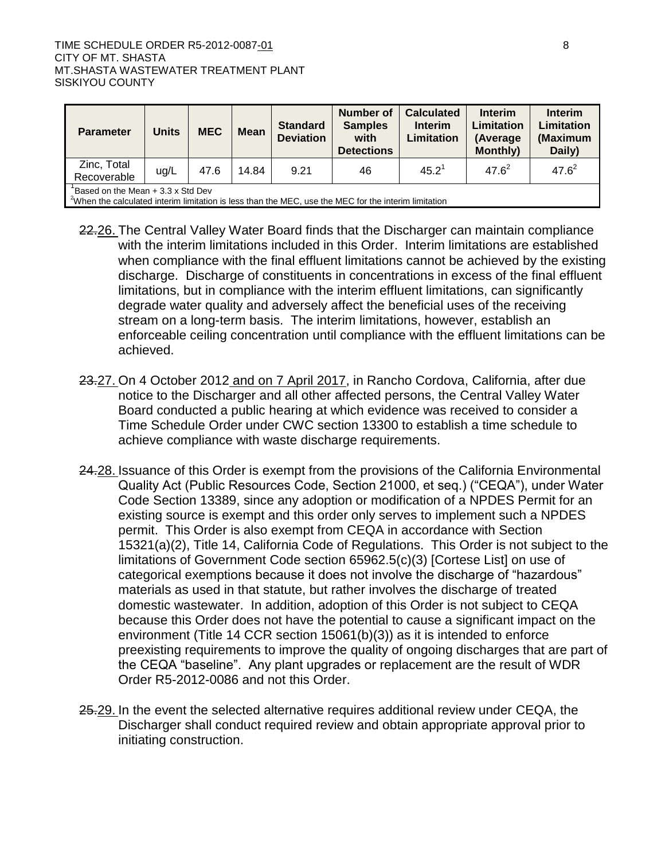| <b>Parameter</b>                                                                                                                                            | <b>Units</b> | <b>MEC</b> | <b>Mean</b> | <b>Standard</b><br><b>Deviation</b> | Number of<br><b>Samples</b><br>with<br><b>Detections</b> | <b>Calculated</b><br><b>Interim</b><br>Limitation | <b>Interim</b><br>Limitation<br>(Average<br><b>Monthly</b> ) | <b>Interim</b><br>Limitation<br>(Maximum<br>Daily) |
|-------------------------------------------------------------------------------------------------------------------------------------------------------------|--------------|------------|-------------|-------------------------------------|----------------------------------------------------------|---------------------------------------------------|--------------------------------------------------------------|----------------------------------------------------|
| Zinc, Total<br>Recoverable                                                                                                                                  | ug/L         | 47.6       | 14.84       | 9.21                                | 46                                                       | $45.2^1$                                          | $47.6^{2}$                                                   | $47.6^{2}$                                         |
| Based on the Mean $+3.3 \times$ Std Dev<br><sup>2</sup> When the calculated interim limitation is less than the MEC, use the MEC for the interim limitation |              |            |             |                                     |                                                          |                                                   |                                                              |                                                    |

- when compliance with the final effluent limitations cannot be achieved by the existing discharge. Discharge of constituents in concentrations in excess of the final effluent enforceable ceiling concentration until compliance with the effluent limitations can be 22.26. The Central Valley Water Board finds that the Discharger can maintain compliance with the interim limitations included in this Order. Interim limitations are established limitations, but in compliance with the interim effluent limitations, can significantly degrade water quality and adversely affect the beneficial uses of the receiving stream on a long-term basis. The interim limitations, however, establish an achieved.
- 23.27. On 4 October 2012 and on 7 April 2017, in Rancho Cordova, California, after due Time Schedule Order under CWC section 13300 to establish a time schedule to notice to the Discharger and all other affected persons, the Central Valley Water Board conducted a public hearing at which evidence was received to consider a achieve compliance with waste discharge requirements.
- permit. This Order is also exempt from CEQA in accordance with Section environment (Title 14 CCR section 15061(b)(3)) as it is intended to enforce 24.28. Issuance of this Order is exempt from the provisions of the California Environmental Quality Act (Public Resources Code, Section 21000, et seq.) ("CEQA"), under Water Code Section 13389, since any adoption or modification of a NPDES Permit for an existing source is exempt and this order only serves to implement such a NPDES 15321(a)(2), Title 14, California Code of Regulations. This Order is not subject to the limitations of Government Code section 65962.5(c)(3) [Cortese List] on use of categorical exemptions because it does not involve the discharge of "hazardous" materials as used in that statute, but rather involves the discharge of treated domestic wastewater. In addition, adoption of this Order is not subject to CEQA because this Order does not have the potential to cause a significant impact on the preexisting requirements to improve the quality of ongoing discharges that are part of the CEQA "baseline". Any plant upgrades or replacement are the result of WDR Order R5-2012-0086 and not this Order.
- 25.29. In the event the selected alternative requires additional review under CEQA, the Discharger shall conduct required review and obtain appropriate approval prior to initiating construction.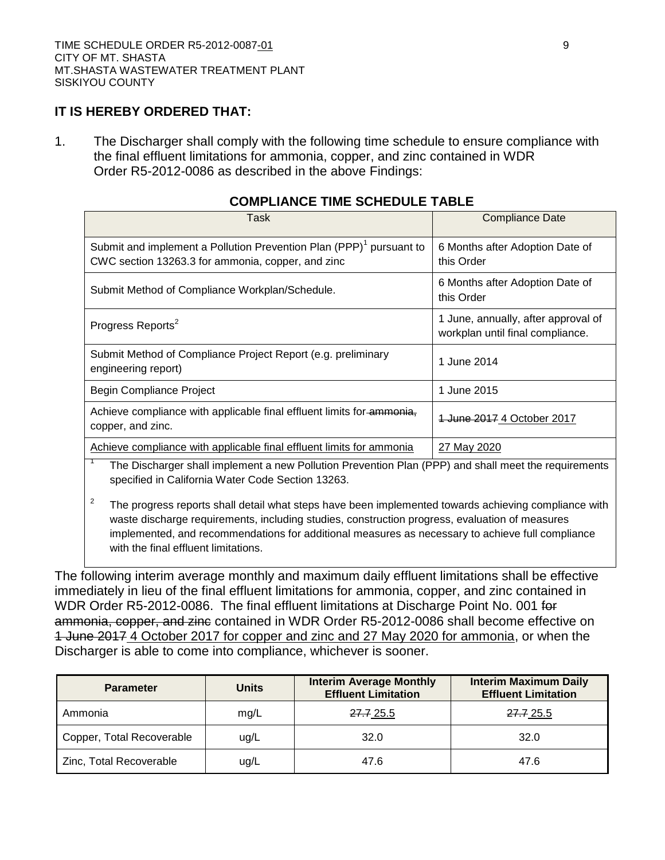### **IT IS HEREBY ORDERED THAT:**

1. The Discharger shall comply with the following time schedule to ensure compliance with the final effluent limitations for ammonia, copper, and zinc contained in WDR Order R5-2012-0086 as described in the above Findings:

| Task                                                                                                                                 | Compliance Date                                                         |  |  |  |  |  |
|--------------------------------------------------------------------------------------------------------------------------------------|-------------------------------------------------------------------------|--|--|--|--|--|
| Submit and implement a Pollution Prevention Plan (PPP) <sup>1</sup> pursuant to<br>CWC section 13263.3 for ammonia, copper, and zinc | 6 Months after Adoption Date of<br>this Order                           |  |  |  |  |  |
| Submit Method of Compliance Workplan/Schedule.                                                                                       | 6 Months after Adoption Date of<br>this Order                           |  |  |  |  |  |
| Progress Reports <sup>2</sup>                                                                                                        | 1 June, annually, after approval of<br>workplan until final compliance. |  |  |  |  |  |
| Submit Method of Compliance Project Report (e.g. preliminary<br>engineering report)                                                  | 1 June 2014                                                             |  |  |  |  |  |
| Begin Compliance Project                                                                                                             | 1 June 2015                                                             |  |  |  |  |  |
| Achieve compliance with applicable final effluent limits for ammonia,<br>copper, and zinc.                                           | 1 June 2017 4 October 2017                                              |  |  |  |  |  |
| Achieve compliance with applicable final effluent limits for ammonia                                                                 | 27 May 2020                                                             |  |  |  |  |  |
| The Discharger shall implement a new Pollution Prevention Plan (PPP) and shall meet the requirements                                 |                                                                         |  |  |  |  |  |

### **COMPLIANCE TIME SCHEDULE TABLE**

specified in California Water Code Section 13263.

<sup>2</sup> The progress reports shall detail what steps have been implemented towards achieving compliance with waste discharge requirements, including studies, construction progress, evaluation of measures implemented, and recommendations for additional measures as necessary to achieve full compliance with the final effluent limitations.

The following interim average monthly and maximum daily effluent limitations shall be effective immediately in lieu of the final effluent limitations for ammonia, copper, and zinc contained in WDR Order R5-2012-0086. The final effluent limitations at Discharge Point No. 001 for ammonia, copper, and zinc contained in WDR Order R5-2012-0086 shall become effective on 1 June 2017 4 October 2017 for copper and zinc and 27 May 2020 for ammonia, or when the Discharger is able to come into compliance, whichever is sooner.

| <b>Parameter</b>          | <b>Units</b> | <b>Interim Average Monthly</b><br><b>Effluent Limitation</b> | <b>Interim Maximum Daily</b><br><b>Effluent Limitation</b> |
|---------------------------|--------------|--------------------------------------------------------------|------------------------------------------------------------|
| Ammonia                   | mg/L         | <del>27.7</del> 25.5                                         | 27.7 25.5                                                  |
| Copper, Total Recoverable | ug/L         | 32.0                                                         | 32.0                                                       |
| Zinc, Total Recoverable   | ug/L         | 47.6                                                         | 47.6                                                       |